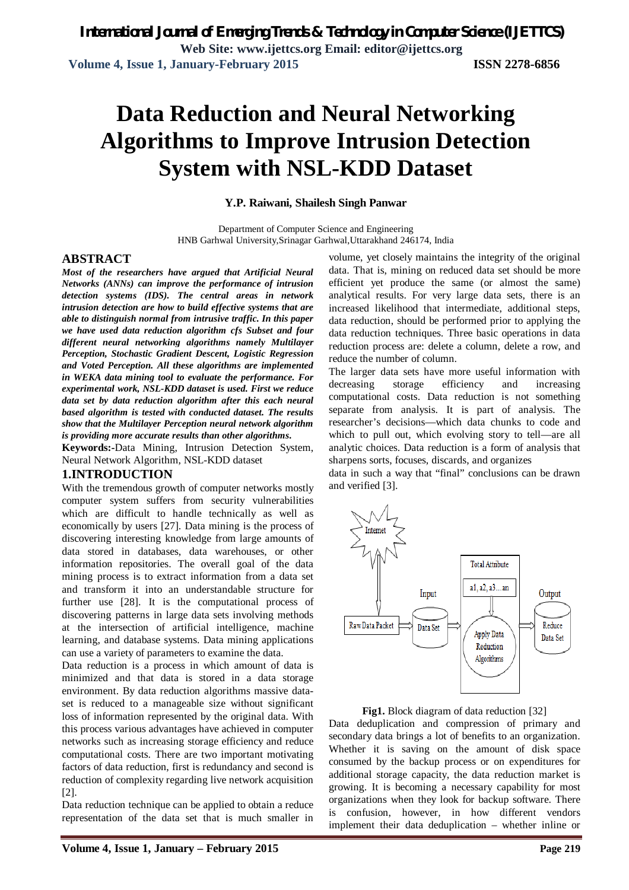# **Data Reduction and Neural Networking Algorithms to Improve Intrusion Detection System with NSL-KDD Dataset**

### **Y.P. Raiwani, Shailesh Singh Panwar**

Department of Computer Science and Engineering HNB Garhwal University,Srinagar Garhwal,Uttarakhand 246174, India

### **ABSTRACT**

*Most of the researchers have argued that Artificial Neural Networks (ANNs) can improve the performance of intrusion detection systems (IDS). The central areas in network intrusion detection are how to build effective systems that are able to distinguish normal from intrusive traffic. In this paper we have used data reduction algorithm cfs Subset and four different neural networking algorithms namely Multilayer Perception, Stochastic Gradient Descent, Logistic Regression and Voted Perception. All these algorithms are implemented in WEKA data mining tool to evaluate the performance. For experimental work, NSL-KDD dataset is used. First we reduce data set by data reduction algorithm after this each neural based algorithm is tested with conducted dataset. The results show that the Multilayer Perception neural network algorithm is providing more accurate results than other algorithms.*

**Keywords:-**Data Mining, Intrusion Detection System, Neural Network Algorithm, NSL-KDD dataset

### **1.INTRODUCTION**

With the tremendous growth of computer networks mostly computer system suffers from security vulnerabilities which are difficult to handle technically as well as economically by users [27]. Data mining is the process of discovering interesting knowledge from large amounts of data stored in databases, data warehouses, or other information repositories. The overall goal of the data mining process is to extract information from a data set and transform it into an understandable structure for further use [28]. It is the computational process of discovering patterns in large data sets involving methods at the intersection of artificial intelligence, machine learning, and database systems. Data mining applications can use a variety of parameters to examine the data.

Data reduction is a process in which amount of data is minimized and that data is stored in a data storage environment. By data reduction algorithms massive dataset is reduced to a manageable size without significant loss of information represented by the original data. With this process various advantages have achieved in computer networks such as increasing storage efficiency and reduce computational costs. There are two important motivating factors of data reduction, first is redundancy and second is reduction of complexity regarding live network acquisition [2].

Data reduction technique can be applied to obtain a reduce representation of the data set that is much smaller in

volume, yet closely maintains the integrity of the original data. That is, mining on reduced data set should be more efficient yet produce the same (or almost the same) analytical results. For very large data sets, there is an increased likelihood that intermediate, additional steps, data reduction, should be performed prior to applying the data reduction techniques. Three basic operations in data reduction process are: delete a column, delete a row, and reduce the number of column.

The larger data sets have more useful information with decreasing storage efficiency and increasing computational costs. Data reduction is not something separate from analysis. It is part of analysis. The researcher's decisions—which data chunks to code and which to pull out, which evolving story to tell—are all analytic choices. Data reduction is a form of analysis that sharpens sorts, focuses, discards, and organizes

data in such a way that "final" conclusions can be drawn and verified [3].



**Fig1.** Block diagram of data reduction [32]

Data deduplication and compression of primary and secondary data brings a lot of benefits to an organization. Whether it is saving on the amount of disk space consumed by the backup process or on expenditures for additional storage capacity, the data reduction market is growing. It is becoming a necessary capability for most organizations when they look for backup software. There is confusion, however, in how different vendors implement their data deduplication – whether inline or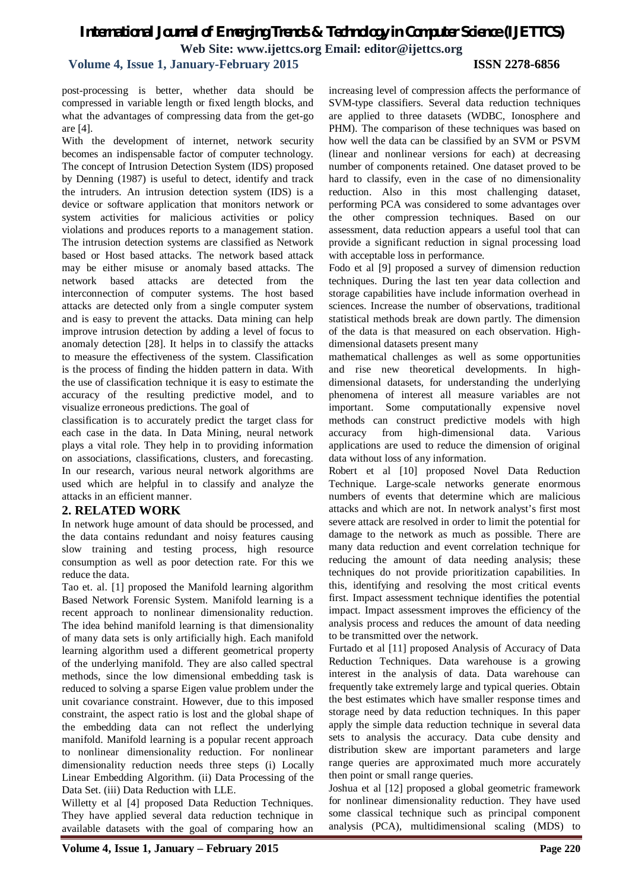# **Volume 4, Issue 1, January-February 2015 ISSN 2278-6856**

post-processing is better, whether data should be compressed in variable length or fixed length blocks, and what the advantages of compressing data from the get-go are [4].

With the development of internet, network security becomes an indispensable factor of computer technology. The concept of Intrusion Detection System (IDS) proposed by Denning (1987) is useful to detect, identify and track the intruders. An intrusion detection system (IDS) is a device or software application that monitors network or system activities for malicious activities or policy violations and produces reports to a management station. The intrusion detection systems are classified as Network based or Host based attacks. The network based attack may be either misuse or anomaly based attacks. The network based attacks are detected from the interconnection of computer systems. The host based attacks are detected only from a single computer system and is easy to prevent the attacks. Data mining can help improve intrusion detection by adding a level of focus to anomaly detection [28]. It helps in to classify the attacks to measure the effectiveness of the system. Classification is the process of finding the hidden pattern in data. With the use of classification technique it is easy to estimate the accuracy of the resulting predictive model, and to visualize erroneous predictions. The goal of

classification is to accurately predict the target class for each case in the data. In Data Mining, neural network plays a vital role. They help in to providing information on associations, classifications, clusters, and forecasting. In our research, various neural network algorithms are used which are helpful in to classify and analyze the attacks in an efficient manner.

### **2. RELATED WORK**

In network huge amount of data should be processed, and the data contains redundant and noisy features causing slow training and testing process, high resource consumption as well as poor detection rate. For this we reduce the data.

Tao et. al. [1] proposed the Manifold learning algorithm Based Network Forensic System. Manifold learning is a recent approach to nonlinear dimensionality reduction. The idea behind manifold learning is that dimensionality of many data sets is only artificially high. Each manifold learning algorithm used a different geometrical property of the underlying manifold. They are also called spectral methods, since the low dimensional embedding task is reduced to solving a sparse Eigen value problem under the unit covariance constraint. However, due to this imposed constraint, the aspect ratio is lost and the global shape of the embedding data can not reflect the underlying manifold. Manifold learning is a popular recent approach to nonlinear dimensionality reduction. For nonlinear dimensionality reduction needs three steps (i) Locally Linear Embedding Algorithm. (ii) Data Processing of the Data Set. (iii) Data Reduction with LLE.

Willetty et al [4] proposed Data Reduction Techniques. They have applied several data reduction technique in available datasets with the goal of comparing how an

increasing level of compression affects the performance of SVM-type classifiers. Several data reduction techniques are applied to three datasets (WDBC, Ionosphere and PHM). The comparison of these techniques was based on how well the data can be classified by an SVM or PSVM (linear and nonlinear versions for each) at decreasing number of components retained. One dataset proved to be hard to classify, even in the case of no dimensionality reduction. Also in this most challenging dataset, performing PCA was considered to some advantages over the other compression techniques. Based on our assessment, data reduction appears a useful tool that can provide a significant reduction in signal processing load with acceptable loss in performance.

Fodo et al [9] proposed a survey of dimension reduction techniques. During the last ten year data collection and storage capabilities have include information overhead in sciences. Increase the number of observations, traditional statistical methods break are down partly. The dimension of the data is that measured on each observation. Highdimensional datasets present many

mathematical challenges as well as some opportunities and rise new theoretical developments. In highdimensional datasets, for understanding the underlying phenomena of interest all measure variables are not important. Some computationally expensive novel methods can construct predictive models with high accuracy from high-dimensional data. Various applications are used to reduce the dimension of original data without loss of any information.

Robert et al [10] proposed Novel Data Reduction Technique. Large-scale networks generate enormous numbers of events that determine which are malicious attacks and which are not. In network analyst's first most severe attack are resolved in order to limit the potential for damage to the network as much as possible. There are many data reduction and event correlation technique for reducing the amount of data needing analysis; these techniques do not provide prioritization capabilities. In this, identifying and resolving the most critical events first. Impact assessment technique identifies the potential impact. Impact assessment improves the efficiency of the analysis process and reduces the amount of data needing to be transmitted over the network.

Furtado et al [11] proposed Analysis of Accuracy of Data Reduction Techniques. Data warehouse is a growing interest in the analysis of data. Data warehouse can frequently take extremely large and typical queries. Obtain the best estimates which have smaller response times and storage need by data reduction techniques. In this paper apply the simple data reduction technique in several data sets to analysis the accuracy. Data cube density and distribution skew are important parameters and large range queries are approximated much more accurately then point or small range queries.

Joshua et al [12] proposed a global geometric framework for nonlinear dimensionality reduction. They have used some classical technique such as principal component analysis (PCA), multidimensional scaling (MDS) to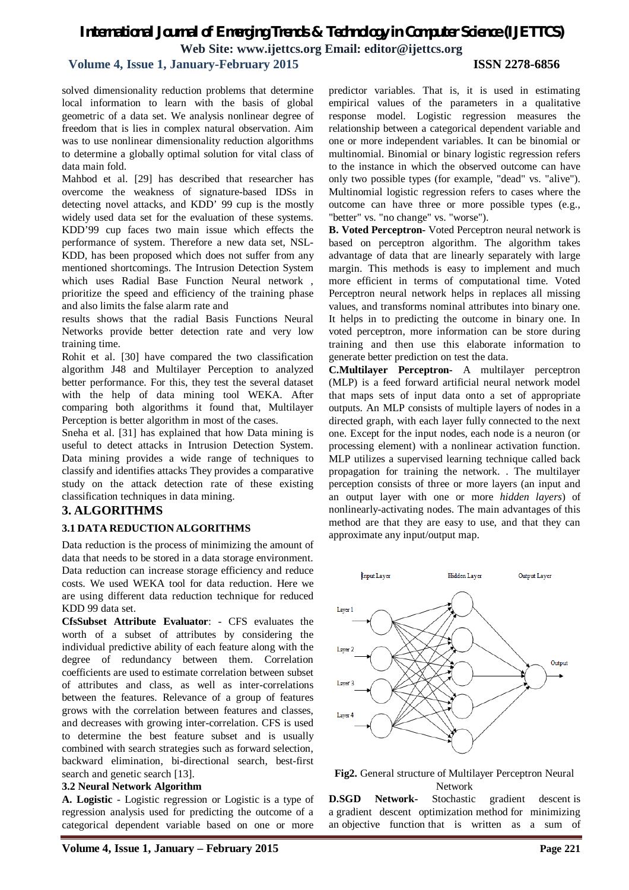# **Volume 4, Issue 1, January-February 2015 ISSN 2278-6856**

solved dimensionality reduction problems that determine local information to learn with the basis of global geometric of a data set. We analysis nonlinear degree of freedom that is lies in complex natural observation. Aim was to use nonlinear dimensionality reduction algorithms to determine a globally optimal solution for vital class of data main fold.

Mahbod et al. [29] has described that researcher has overcome the weakness of signature-based IDSs in detecting novel attacks, and KDD' 99 cup is the mostly widely used data set for the evaluation of these systems. KDD'99 cup faces two main issue which effects the performance of system. Therefore a new data set, NSL-KDD, has been proposed which does not suffer from any mentioned shortcomings. The Intrusion Detection System which uses Radial Base Function Neural network , prioritize the speed and efficiency of the training phase and also limits the false alarm rate and

results shows that the radial Basis Functions Neural Networks provide better detection rate and very low training time.

Rohit et al. [30] have compared the two classification algorithm J48 and Multilayer Perception to analyzed better performance. For this, they test the several dataset with the help of data mining tool WEKA. After comparing both algorithms it found that, Multilayer Perception is better algorithm in most of the cases.

Sneha et al. [31] has explained that how Data mining is useful to detect attacks in Intrusion Detection System. Data mining provides a wide range of techniques to classify and identifies attacks They provides a comparative study on the attack detection rate of these existing classification techniques in data mining.

# **3. ALGORITHMS**

#### **3.1 DATA REDUCTION ALGORITHMS**

Data reduction is the process of minimizing the amount of data that needs to be stored in a data storage environment. Data reduction can increase storage efficiency and reduce costs. We used WEKA tool for data reduction. Here we are using different data reduction technique for reduced KDD 99 data set.

**CfsSubset Attribute Evaluator**: - CFS evaluates the worth of a subset of attributes by considering the individual predictive ability of each feature along with the degree of redundancy between them. Correlation coefficients are used to estimate correlation between subset of attributes and class, as well as inter-correlations between the features. Relevance of a group of features grows with the correlation between features and classes, and decreases with growing inter-correlation. CFS is used to determine the best feature subset and is usually combined with search strategies such as forward selection, backward elimination, bi-directional search, best-first search and genetic search [13].

#### **3.2 Neural Network Algorithm**

**A. Logistic** - Logistic regression or Logistic is a type of regression analysis used for predicting the outcome of a categorical dependent variable based on one or more

predictor variables. That is, it is used in estimating empirical values of the parameters in a qualitative response model. Logistic regression measures the relationship between a categorical dependent variable and one or more independent variables. It can be binomial or multinomial. Binomial or binary logistic regression refers to the instance in which the observed outcome can have only two possible types (for example, "dead" vs. "alive"). Multinomial logistic regression refers to cases where the outcome can have three or more possible types (e.g., "better" vs. "no change" vs. "worse").

**B. Voted Perceptron-** Voted Perceptron neural network is based on perceptron algorithm. The algorithm takes advantage of data that are linearly separately with large margin. This methods is easy to implement and much more efficient in terms of computational time. Voted Perceptron neural network helps in replaces all missing values, and transforms nominal attributes into binary one. It helps in to predicting the outcome in binary one. In voted perceptron, more information can be store during training and then use this elaborate information to generate better prediction on test the data.

**C.Multilayer Perceptron-** A multilayer perceptron (MLP) is a feed forward artificial neural network model that maps sets of input data onto a set of appropriate outputs. An MLP consists of multiple layers of nodes in a directed graph, with each layer fully connected to the next one. Except for the input nodes, each node is a neuron (or processing element) with a nonlinear activation function. MLP utilizes a supervised learning technique called back propagation for training the network. . The multilayer perception consists of three or more layers (an input and an output layer with one or more *hidden layers*) of nonlinearly-activating nodes. The main advantages of this method are that they are easy to use, and that they can approximate any input/output map.





**D.SGD Network-** Stochastic gradient descent is a gradient descent optimization method for minimizing an objective function that is written as a sum of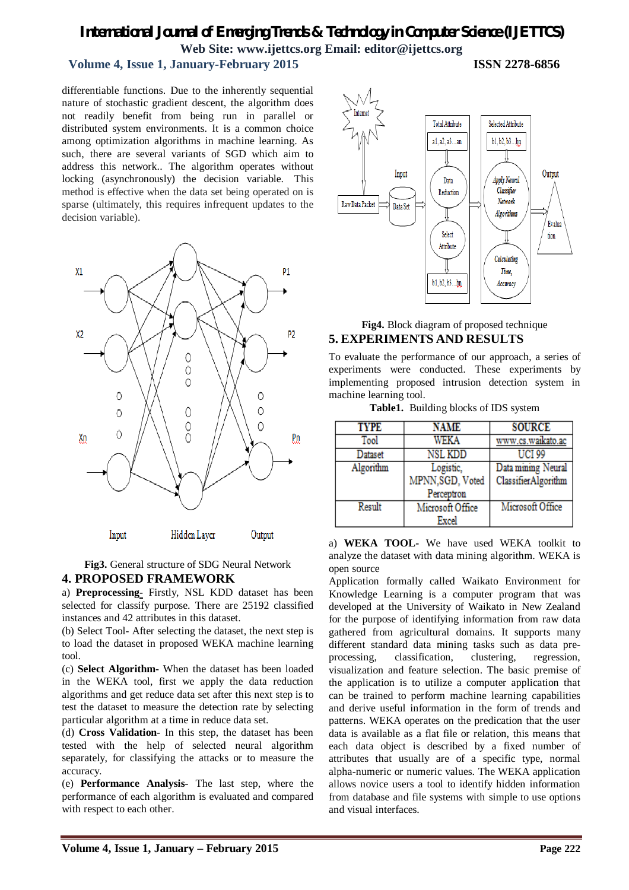# **Volume 4, Issue 1, January-February 2015 ISSN 2278-6856**

differentiable functions. Due to the inherently sequential nature of stochastic gradient descent, the algorithm does not readily benefit from being run in parallel or distributed system environments. It is a common choice among optimization algorithms in machine learning. As such, there are several variants of SGD which aim to address this network.. The algorithm operates without locking (asynchronously) the decision variable. This method is effective when the data set being operated on is sparse (ultimately, this requires infrequent updates to the decision variable).



**Fig3.** General structure of SDG Neural Network **4. PROPOSED FRAMEWORK**

a) **Preprocessing-** Firstly, NSL KDD dataset has been selected for classify purpose. There are 25192 classified instances and 42 attributes in this dataset.

(b) Select Tool- After selecting the dataset, the next step is to load the dataset in proposed WEKA machine learning tool.

(c) **Select Algorithm-** When the dataset has been loaded in the WEKA tool, first we apply the data reduction algorithms and get reduce data set after this next step is to test the dataset to measure the detection rate by selecting particular algorithm at a time in reduce data set.

(d) **Cross Validation-** In this step, the dataset has been tested with the help of selected neural algorithm separately, for classifying the attacks or to measure the accuracy.

(e) **Performance Analysis-** The last step, where the performance of each algorithm is evaluated and compared with respect to each other.



# **Fig4.** Block diagram of proposed technique **5. EXPERIMENTS AND RESULTS**

To evaluate the performance of our approach, a series of experiments were conducted. These experiments by implementing proposed intrusion detection system in machine learning tool.

**Table1.** Building blocks of IDS system

| <b>TYPE</b> | NAME             | <b>SOURCE</b>       |
|-------------|------------------|---------------------|
| Tool        | WEKA             | www.cs.waikato.ac   |
| Dataset     | <b>NSL KDD</b>   | <b>UCI 99</b>       |
| Algorithm   | Logistic,        | Data mining Neural  |
|             | MPNN, SGD, Voted | ClassifierAlgorithm |
|             | Perceptron       |                     |
| Result      | Microsoft Office | Microsoft Office    |
|             | Excel            |                     |

a) **WEKA TOOL-** We have used WEKA toolkit to analyze the dataset with data mining algorithm. WEKA is open source

Application formally called Waikato Environment for Knowledge Learning is a computer program that was developed at the University of Waikato in New Zealand for the purpose of identifying information from raw data gathered from agricultural domains. It supports many different standard data mining tasks such as data preprocessing, classification, clustering, regression, visualization and feature selection. The basic premise of the application is to utilize a computer application that can be trained to perform machine learning capabilities and derive useful information in the form of trends and patterns. WEKA operates on the predication that the user data is available as a flat file or relation, this means that each data object is described by a fixed number of attributes that usually are of a specific type, normal alpha-numeric or numeric values. The WEKA application allows novice users a tool to identify hidden information from database and file systems with simple to use options and visual interfaces.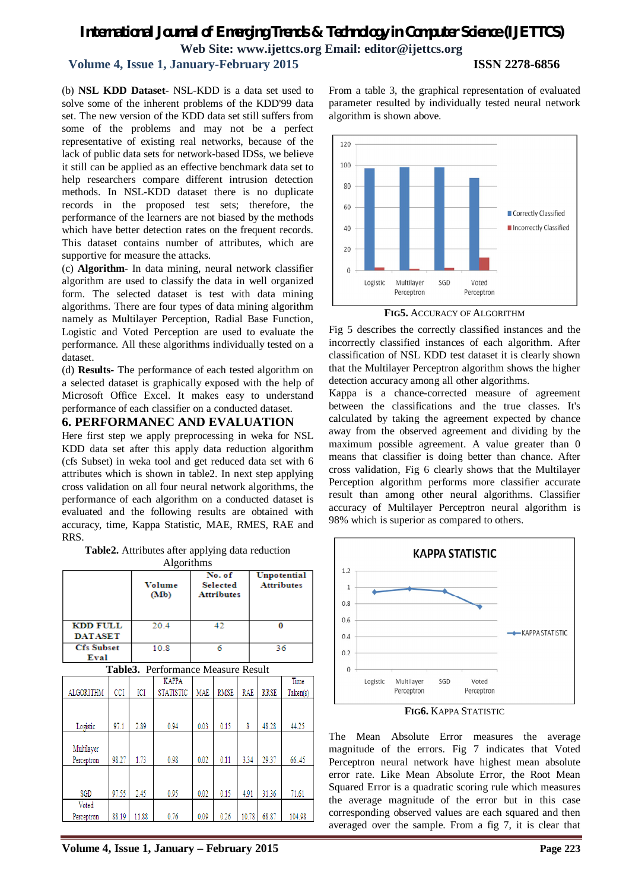# *International Journal of Emerging Trends & Technology in Computer Science (IJETTCS)* **Web Site: www.ijettcs.org Email: editor@ijettcs.org Volume 4, Issue 1, January-February 2015 ISSN 2278-6856**

(b) **NSL KDD Dataset-** NSL-KDD is a data set used to solve some of the inherent problems of the KDD'99 data set. The new version of the KDD data set still suffers from some of the problems and may not be a perfect representative of existing real networks, because of the lack of public data sets for network-based IDSs, we believe it still can be applied as an effective benchmark data set to help researchers compare different intrusion detection methods. In NSL-KDD dataset there is no duplicate records in the proposed test sets; therefore, the performance of the learners are not biased by the methods which have better detection rates on the frequent records. This dataset contains number of attributes, which are supportive for measure the attacks.

(c) **Algorithm-** In data mining, neural network classifier algorithm are used to classify the data in well organized form. The selected dataset is test with data mining algorithms. There are four types of data mining algorithm namely as Multilayer Perception, Radial Base Function, Logistic and Voted Perception are used to evaluate the performance. All these algorithms individually tested on a dataset.

(d) **Results-** The performance of each tested algorithm on a selected dataset is graphically exposed with the help of Microsoft Office Excel. It makes easy to understand performance of each classifier on a conducted dataset.

# **6. PERFORMANEC AND EVALUATION**

Here first step we apply preprocessing in weka for NSL KDD data set after this apply data reduction algorithm (cfs Subset) in weka tool and get reduced data set with 6 attributes which is shown in table2. In next step applying cross validation on all four neural network algorithms, the performance of each algorithm on a conducted dataset is evaluated and the following results are obtained with accuracy, time, Kappa Statistic, MAE, RMES, RAE and RRS.

**Table2.** Attributes after applying data reduction

| Algorithms                                |       |       |                                                                 |            |             |                                  |             |                  |  |  |
|-------------------------------------------|-------|-------|-----------------------------------------------------------------|------------|-------------|----------------------------------|-------------|------------------|--|--|
|                                           |       |       | No. of<br>Volume<br><b>Selected</b><br><b>Attributes</b><br>(Mb |            |             | Unpotential<br><b>Attributes</b> |             |                  |  |  |
| <b>KDD FULL</b><br><b>DATASET</b>         |       | 20.4  |                                                                 | 42         |             |                                  | 0           |                  |  |  |
| <b>Cfs Subset</b><br>Eval                 |       |       | 10.8                                                            | 6          |             |                                  | 36          |                  |  |  |
| <b>Table3.</b> Performance Measure Result |       |       |                                                                 |            |             |                                  |             |                  |  |  |
| <b>ALGORITHM</b>                          | CCI   | ICI   | <b>KAPPA</b><br><b>STATISTIC</b>                                | <b>MAE</b> | <b>RMSE</b> | RAE                              | <b>RRSE</b> | Time<br>Taken(s) |  |  |
| Logistic                                  | 97.1  | 2.89  | 0.94                                                            | 0.03       | 0.15        | X                                | 48.28       | 44.25            |  |  |
| Multilayer<br>Perceptron                  | 98.27 | 1.73  | 0.98                                                            | 0.02       | 0.11        | 3.34                             | 29.37       | 66.45            |  |  |
| SGD                                       | 97.55 | 2.45  | 0.95                                                            | 0.02       | 0.15        | 4.91                             | 31.36       | 71.61            |  |  |
| Voted<br>Perceptron                       | 88.19 | 11.88 | 0.76                                                            | 0.09       | 0.26        | 10.78                            | 68.87       | 104.98           |  |  |

From a table 3, the graphical representation of evaluated parameter resulted by individually tested neural network algorithm is shown above.



**FIG5.** ACCURACY OF ALGORITHM

Fig 5 describes the correctly classified instances and the incorrectly classified instances of each algorithm. After classification of NSL KDD test dataset it is clearly shown that the Multilayer Perceptron algorithm shows the higher detection accuracy among all other algorithms.

Kappa is a chance-corrected measure of agreement between the classifications and the true classes. It's calculated by taking the agreement expected by chance away from the observed agreement and dividing by the maximum possible agreement. A value greater than 0 means that classifier is doing better than chance. After cross validation, Fig 6 clearly shows that the Multilayer Perception algorithm performs more classifier accurate result than among other neural algorithms. Classifier accuracy of Multilayer Perceptron neural algorithm is 98% which is superior as compared to others.



**FIG6.** KAPPA STATISTIC

The Mean Absolute Error measures the average magnitude of the errors. Fig 7 indicates that Voted Perceptron neural network have highest mean absolute error rate. Like Mean Absolute Error, the Root Mean Squared Error is a quadratic scoring rule which measures the average magnitude of the error but in this case corresponding observed values are each squared and then averaged over the sample. From a fig 7, it is clear that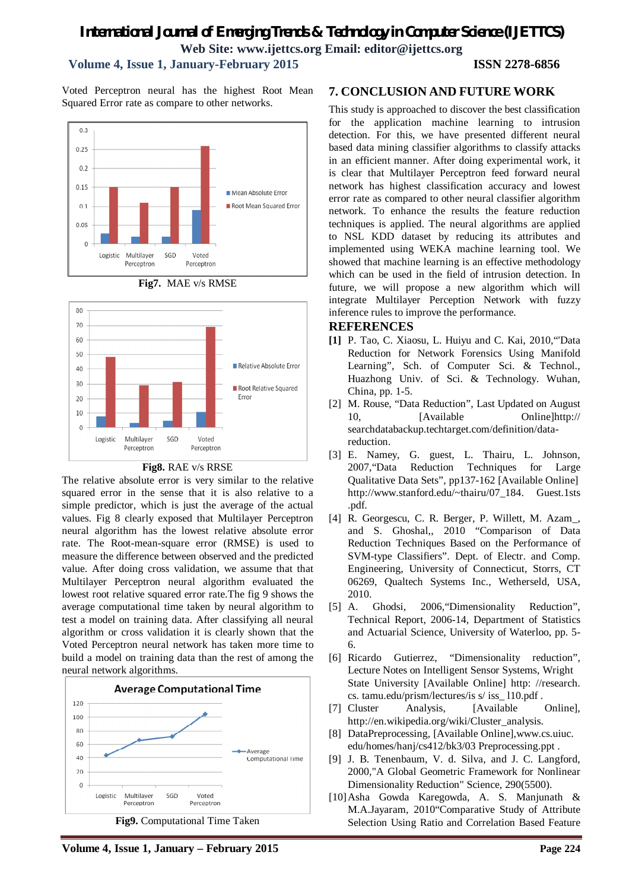# **Volume 4, Issue 1, January-February 2015 ISSN 2278-6856**

Voted Perceptron neural has the highest Root Mean Squared Error rate as compare to other networks.







#### **Fig8.** RAE v/s RRSE

The relative absolute error is very similar to the relative squared error in the sense that it is also relative to a simple predictor, which is just the average of the actual values. Fig 8 clearly exposed that Multilayer Perceptron neural algorithm has the lowest relative absolute error rate. The Root-mean-square error (RMSE) is used to measure the difference between observed and the predicted value. After doing cross validation, we assume that that Multilayer Perceptron neural algorithm evaluated the lowest root relative squared error rate.The fig 9 shows the average computational time taken by neural algorithm to test a model on training data. After classifying all neural algorithm or cross validation it is clearly shown that the Voted Perceptron neural network has taken more time to build a model on training data than the rest of among the neural network algorithms.



**Volume 4, Issue 1, January – February 2015 Page 224**

# **7. CONCLUSION AND FUTURE WORK**

This study is approached to discover the best classification for the application machine learning to intrusion detection. For this, we have presented different neural based data mining classifier algorithms to classify attacks in an efficient manner. After doing experimental work, it is clear that Multilayer Perceptron feed forward neural network has highest classification accuracy and lowest error rate as compared to other neural classifier algorithm network. To enhance the results the feature reduction techniques is applied. The neural algorithms are applied to NSL KDD dataset by reducing its attributes and implemented using WEKA machine learning tool. We showed that machine learning is an effective methodology which can be used in the field of intrusion detection. In future, we will propose a new algorithm which will integrate Multilayer Perception Network with fuzzy inference rules to improve the performance.

### **REFERENCES**

- **[1]** P. Tao, C. Xiaosu, L. Huiyu and C. Kai, 2010,"'Data Reduction for Network Forensics Using Manifold Learning", Sch. of Computer Sci. & Technol., Huazhong Univ. of Sci. & Technology. Wuhan, China, pp. 1-5.
- [2] M. Rouse, "Data Reduction", Last Updated on August 10, [Available Online]http:// searchdatabackup.techtarget.com/definition/datareduction.
- [3] E. Namey, G. guest, L. Thairu, L. Johnson, 2007,"Data Reduction Techniques for Large Qualitative Data Sets", pp137-162 [Available Online] http://www.stanford.edu/~thairu/07\_184. Guest.1sts .pdf.
- [4] R. Georgescu, C. R. Berger, P. Willett, M. Azam\_, and S. Ghoshal,, 2010 "Comparison of Data Reduction Techniques Based on the Performance of SVM-type Classifiers". Dept. of Electr. and Comp. Engineering, University of Connecticut, Storrs, CT 06269, Qualtech Systems Inc., Wetherseld, USA, 2010.
- [5] A. Ghodsi, 2006, "Dimensionality Reduction", Technical Report, 2006-14, Department of Statistics and Actuarial Science, University of Waterloo, pp. 5- 6.
- [6] Ricardo Gutierrez, "Dimensionality reduction", Lecture Notes on Intelligent Sensor Systems, Wright State University [Available Online] http: //research. cs. tamu.edu/prism/lectures/is s/ iss\_ l10.pdf .
- [7] Cluster Analysis, [Available Online], http://en.wikipedia.org/wiki/Cluster\_analysis.
- [8] DataPreprocessing, [Available Online],www.cs.uiuc. edu/homes/hanj/cs412/bk3/03 Preprocessing.ppt .
- [9] J. B. Tenenbaum, V. d. Silva, and J. C. Langford, 2000,"A Global Geometric Framework for Nonlinear Dimensionality Reduction" Science, 290(5500).
- [10]Asha Gowda Karegowda, A. S. Manjunath & M.A.Jayaram, 2010"Comparative Study of Attribute Selection Using Ratio and Correlation Based Feature